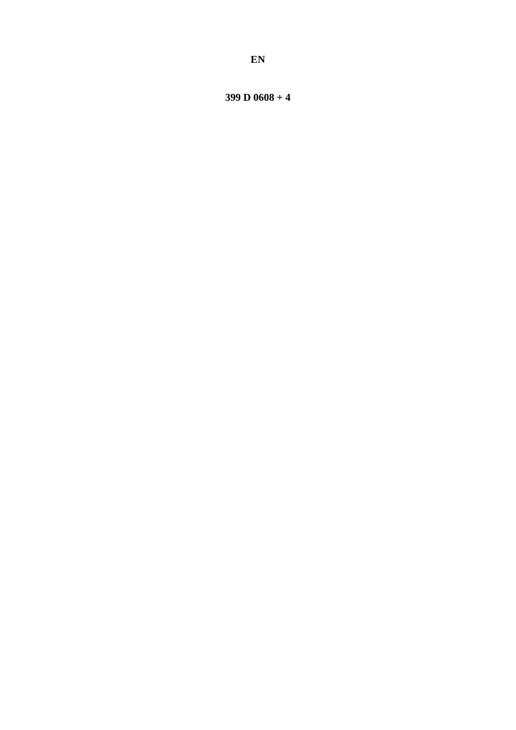399 D  $0608 + 4$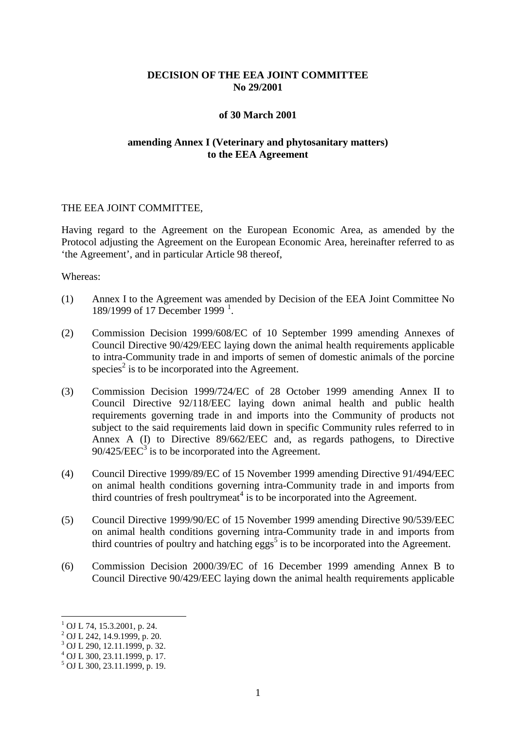## **DECISION OF THE EEA JOINT COMMITTEE No 29/2001**

#### **of 30 March 2001**

## **amending Annex I (Veterinary and phytosanitary matters) to the EEA Agreement**

#### THE EEA JOINT COMMITTEE,

Having regard to the Agreement on the European Economic Area, as amended by the Protocol adjusting the Agreement on the European Economic Area, hereinafter referred to as 'the Agreement', and in particular Article 98 thereof,

#### Whereas:

- (1) Annex I to the Agreement was amended by Decision of the EEA Joint Committee No [1](#page-1-0)89/1999 of 17 December 1999<sup>1</sup>.
- (2) Commission Decision 1999/608/EC of 10 September 1999 amending Annexes of Council Directive 90/429/EEC laying down the animal health requirements applicable to intra-Community trade in and imports of semen of domestic animals of the porcine species<sup>2</sup> is to be incorporated into the Agreement.
- (3) Commission Decision 1999/724/EC of 28 October 1999 amending Annex II to Council Directive 92/118/EEC laying down animal health and public health requirements governing trade in and imports into the Community of products not subject to the said requirements laid down in specific Community rules referred to in Annex A (I) to Directive 89/662/EEC and, as regards pathogens, to Directive  $90/425/EEC<sup>3</sup>$  is to be incorporated into the Agreement.
- (4) Council Directive 1999/89/EC of 15 November 1999 amending Directive 91/494/EEC on animal health conditions governing intra-Community trade in and imports from third countries of fresh poultrymeat<sup>4</sup> is to be incorporated into the Agreement.
- (5) Council Directive 1999/90/EC of 15 November 1999 amending Directive 90/539/EEC on animal health conditions governing intra-Community trade in and imports from third countries of poultry and hatching eggs<sup>5</sup> is to be incorporated into the Agreement.
- (6) Commission Decision 2000/39/EC of 16 December 1999 amending Annex B to Council Directive 90/429/EEC laying down the animal health requirements applicable

<sup>&</sup>lt;sup>1</sup> OJ L 74, 15.3.2001, p. 24.

 $^{2}$  OJ L 242, 14.9.1999, p. 20.

<sup>3</sup> OJ L 290, 12.11.1999, p. 32.

 $^{4}$  OJ L 300, 23.11.1999, p. 17.

<span id="page-1-0"></span> $^5$  OJ L 300, 23.11.1999, p. 19.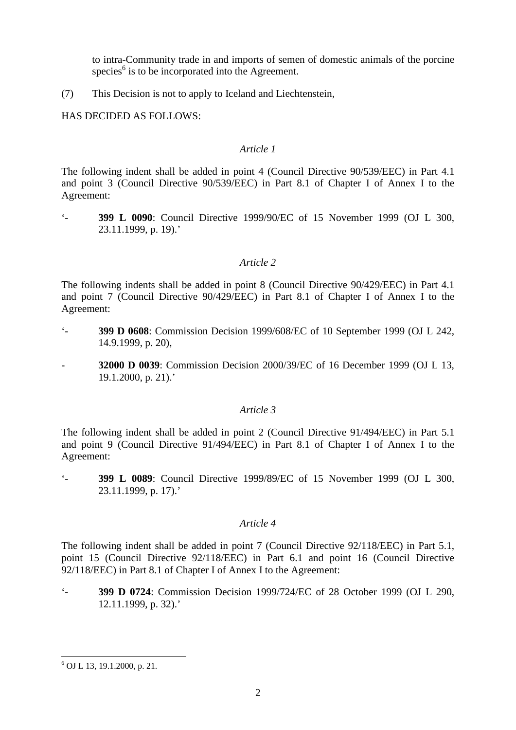to intra-Community trade in and imports of semen of domestic animals of the porcine species<sup> $6$ </sup> is to be incorporated into the Agreement.

(7) This Decision is not to apply to Iceland and Liechtenstein,

HAS DECIDED AS FOLLOWS:

## *Article 1*

The following indent shall be added in point 4 (Council Directive 90/539/EEC) in Part 4.1 and point 3 (Council Directive 90/539/EEC) in Part 8.1 of Chapter I of Annex I to the Agreement:

'- **399 L 0090**: Council Directive 1999/90/EC of 15 November 1999 (OJ L 300, 23.11.1999, p. 19).'

# *Article 2*

The following indents shall be added in point 8 (Council Directive 90/429/EEC) in Part 4.1 and point 7 (Council Directive 90/429/EEC) in Part 8.1 of Chapter I of Annex I to the Agreement:

- '- **399 D 0608**: Commission Decision 1999/608/EC of 10 September 1999 (OJ L 242, 14.9.1999, p. 20),
- **32000 D 0039**: Commission Decision 2000/39/EC of 16 December 1999 (OJ L 13, 19.1.2000, p. 21).'

## *Article 3*

The following indent shall be added in point 2 (Council Directive 91/494/EEC) in Part 5.1 and point 9 (Council Directive 91/494/EEC) in Part 8.1 of Chapter I of Annex I to the Agreement:

'- **399 L 0089**: Council Directive 1999/89/EC of 15 November 1999 (OJ L 300, 23.11.1999, p. 17).'

## *Article 4*

The following indent shall be added in point 7 (Council Directive 92/118/EEC) in Part 5.1, point 15 (Council Directive 92/118/EEC) in Part 6.1 and point 16 (Council Directive 92/118/EEC) in Part 8.1 of Chapter I of Annex I to the Agreement:

'- **399 D 0724**: Commission Decision 1999/724/EC of 28 October 1999 (OJ L 290, 12.11.1999, p. 32).'

 <sup>6</sup> OJ L 13, 19.1.2000, p. 21.